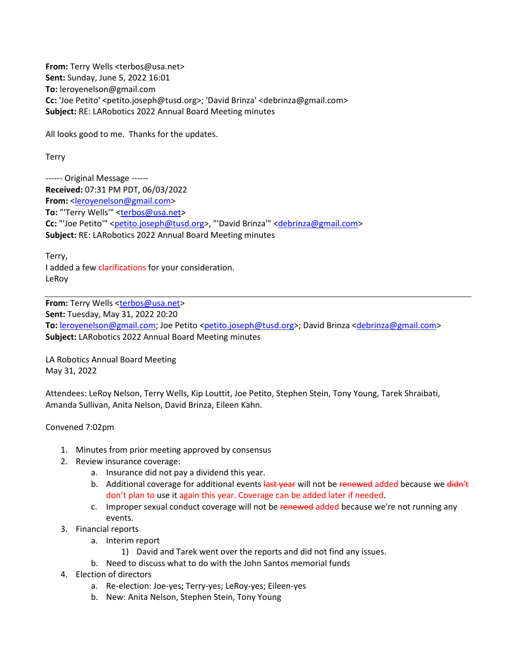**From:** Terry Wells <terbos@usa.net> **Sent:** Sunday, June 5, 2022 16:01 **To:** leroyenelson@gmail.com **Cc:** 'Joe Petito' <petito.joseph@tusd.org>; 'David Brinza' <debrinza@gmail.com> **Subject:** RE: LARobotics 2022 Annual Board Meeting minutes

All looks good to me. Thanks for the updates.

Terry

------ Original Message ------ **Received:** 07:31 PM PDT, 06/03/2022 **From:** <leroyenelson@gmail.com> **To:** "'Terry Wells'" <terbos@usa.net> **Cc:** "'Joe Petito'" <petito.joseph@tusd.org>, "'David Brinza'" <debrinza@gmail.com> **Subject:** RE: LARobotics 2022 Annual Board Meeting minutes

Terry, I added a few clarifications for your consideration. LeRoy

**From:** Terry Wells <terbos@usa.net> **Sent:** Tuesday, May 31, 2022 20:20 **To:** leroyenelson@gmail.com; Joe Petito <petito.joseph@tusd.org>; David Brinza <debrinza@gmail.com> **Subject:** LARobotics 2022 Annual Board Meeting minutes

LA Robotics Annual Board Meeting May 31, 2022

Attendees: LeRoy Nelson, Terry Wells, Kip Louttit, Joe Petito, Stephen Stein, Tony Young, Tarek Shraibati, Amanda Sullivan, Anita Nelson, David Brinza, Eileen Kahn.

## Convened 7:02pm

- 1. Minutes from prior meeting approved by consensus
- 2. Review insurance coverage:
	- a. Insurance did not pay a dividend this year.
	- b. Additional coverage for additional events last year will not be renewed added because we didn't don't plan to use it again this year. Coverage can be added later if needed.
	- c. Improper sexual conduct coverage will not be renewed added because we're not running any events.
- 3. Financial reports
	- a. Interim report
		- 1) David and Tarek went over the reports and did not find any issues.
	- b. Need to discuss what to do with the John Santos memorial funds
- 4. Election of directors
	- a. Re-election: Joe-yes; Terry-yes; LeRoy-yes; Eileen-yes
	- b. New: Anita Nelson, Stephen Stein, Tony Young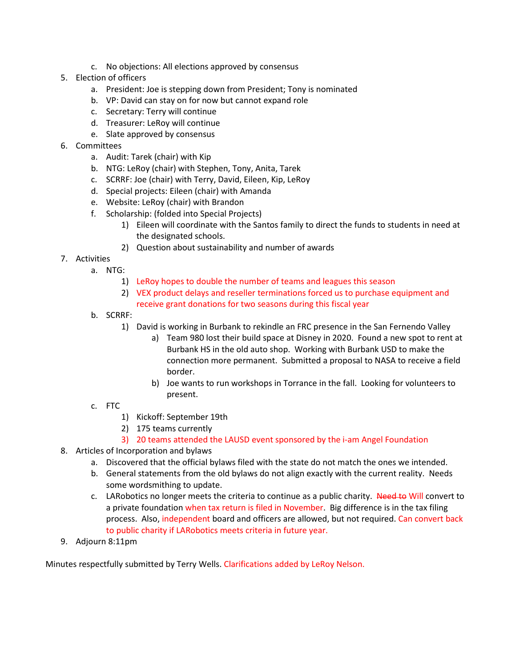- c. No objections: All elections approved by consensus
- 5. Election of officers
	- a. President: Joe is stepping down from President; Tony is nominated
	- b. VP: David can stay on for now but cannot expand role
	- c. Secretary: Terry will continue
	- d. Treasurer: LeRoy will continue
	- e. Slate approved by consensus
- 6. Committees
	- a. Audit: Tarek (chair) with Kip
	- b. NTG: LeRoy (chair) with Stephen, Tony, Anita, Tarek
	- c. SCRRF: Joe (chair) with Terry, David, Eileen, Kip, LeRoy
	- d. Special projects: Eileen (chair) with Amanda
	- e. Website: LeRoy (chair) with Brandon
	- f. Scholarship: (folded into Special Projects)
		- 1) Eileen will coordinate with the Santos family to direct the funds to students in need at the designated schools.
		- 2) Question about sustainability and number of awards
- 7. Activities
	- a. NTG:
		- 1) LeRoy hopes to double the number of teams and leagues this season
		- 2) VEX product delays and reseller terminations forced us to purchase equipment and receive grant donations for two seasons during this fiscal year
	- b. SCRRF:
		- 1) David is working in Burbank to rekindle an FRC presence in the San Fernendo Valley
			- a) Team 980 lost their build space at Disney in 2020. Found a new spot to rent at Burbank HS in the old auto shop. Working with Burbank USD to make the connection more permanent. Submitted a proposal to NASA to receive a field border.
			- b) Joe wants to run workshops in Torrance in the fall. Looking for volunteers to present.
	- c. FTC
		- 1) Kickoff: September 19th
		- 2) 175 teams currently
		- 3) 20 teams attended the LAUSD event sponsored by the i-am Angel Foundation
- 8. Articles of Incorporation and bylaws
	- a. Discovered that the official bylaws filed with the state do not match the ones we intended.
	- b. General statements from the old bylaws do not align exactly with the current reality. Needs some wordsmithing to update.
	- c. LARobotics no longer meets the criteria to continue as a public charity. Need to Will convert to a private foundation when tax return is filed in November. Big difference is in the tax filing process. Also, independent board and officers are allowed, but not required. Can convert back to public charity if LARobotics meets criteria in future year.
- 9. Adjourn 8:11pm

Minutes respectfully submitted by Terry Wells. Clarifications added by LeRoy Nelson.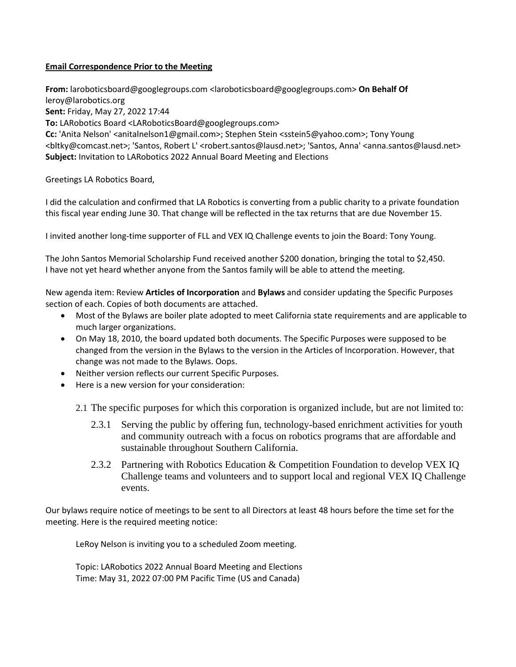## **Email Correspondence Prior to the Meeting**

**From:** laroboticsboard@googlegroups.com <laroboticsboard@googlegroups.com> **On Behalf Of**  leroy@larobotics.org **Sent:** Friday, May 27, 2022 17:44 **To:** LARobotics Board <LARoboticsBoard@googlegroups.com> **Cc:** 'Anita Nelson' <anitalnelson1@gmail.com>; Stephen Stein <sstein5@yahoo.com>; Tony Young <br />
<br />
kty@comcast.net>; 'Santos, Robert L' <robert.santos@lausd.net>; 'Santos, Anna' <anna.santos@lausd.net> **Subject:** Invitation to LARobotics 2022 Annual Board Meeting and Elections

Greetings LA Robotics Board,

I did the calculation and confirmed that LA Robotics is converting from a public charity to a private foundation this fiscal year ending June 30. That change will be reflected in the tax returns that are due November 15.

I invited another long-time supporter of FLL and VEX IQ Challenge events to join the Board: Tony Young.

The John Santos Memorial Scholarship Fund received another \$200 donation, bringing the total to \$2,450. I have not yet heard whether anyone from the Santos family will be able to attend the meeting.

New agenda item: Review **Articles of Incorporation** and **Bylaws** and consider updating the Specific Purposes section of each. Copies of both documents are attached.

- Most of the Bylaws are boiler plate adopted to meet California state requirements and are applicable to much larger organizations.
- On May 18, 2010, the board updated both documents. The Specific Purposes were supposed to be changed from the version in the Bylaws to the version in the Articles of Incorporation. However, that change was not made to the Bylaws. Oops.
- Neither version reflects our current Specific Purposes.
- Here is a new version for your consideration:
	- 2.1 The specific purposes for which this corporation is organized include, but are not limited to:
		- 2.3.1 Serving the public by offering fun, technology-based enrichment activities for youth and community outreach with a focus on robotics programs that are affordable and sustainable throughout Southern California.
		- 2.3.2 Partnering with Robotics Education & Competition Foundation to develop VEX IQ Challenge teams and volunteers and to support local and regional VEX IQ Challenge events.

Our bylaws require notice of meetings to be sent to all Directors at least 48 hours before the time set for the meeting. Here is the required meeting notice:

LeRoy Nelson is inviting you to a scheduled Zoom meeting.

Topic: LARobotics 2022 Annual Board Meeting and Elections Time: May 31, 2022 07:00 PM Pacific Time (US and Canada)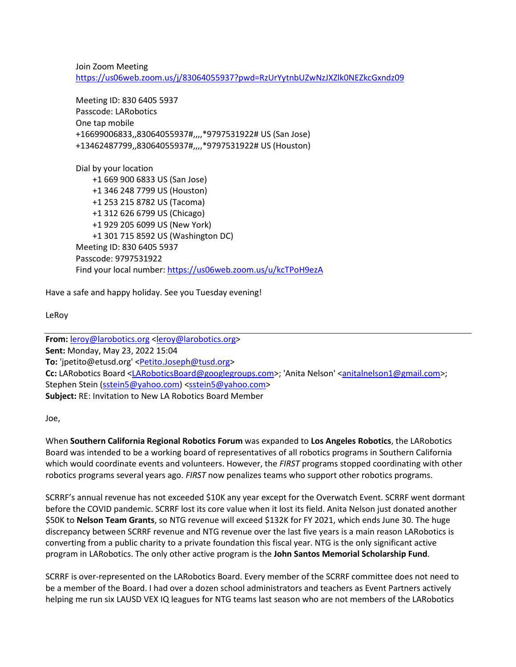Join Zoom Meeting https://us06web.zoom.us/j/83064055937?pwd=RzUrYytnbUZwNzJXZlk0NEZkcGxndz09

Meeting ID: 830 6405 5937 Passcode: LARobotics One tap mobile +16699006833,,83064055937#,,,,\*9797531922# US (San Jose) +13462487799,,83064055937#,,,,\*9797531922# US (Houston)

Dial by your location +1 669 900 6833 US (San Jose) +1 346 248 7799 US (Houston) +1 253 215 8782 US (Tacoma) +1 312 626 6799 US (Chicago) +1 929 205 6099 US (New York) +1 301 715 8592 US (Washington DC) Meeting ID: 830 6405 5937 Passcode: 9797531922 Find your local number: https://us06web.zoom.us/u/kcTPoH9ezA

Have a safe and happy holiday. See you Tuesday evening!

LeRoy

**From:** leroy@larobotics.org <leroy@larobotics.org> **Sent:** Monday, May 23, 2022 15:04 To: 'jpetito@etusd.org' <**Petito.Joseph@tusd.org> Cc:** LARobotics Board <LARoboticsBoard@googlegroups.com>; 'Anita Nelson' <anitalnelson1@gmail.com>; Stephen Stein (sstein5@yahoo.com) <sstein5@yahoo.com> **Subject:** RE: Invitation to New LA Robotics Board Member

Joe,

When **Southern California Regional Robotics Forum** was expanded to **Los Angeles Robotics**, the LARobotics Board was intended to be a working board of representatives of all robotics programs in Southern California which would coordinate events and volunteers. However, the *FIRST* programs stopped coordinating with other robotics programs several years ago. *FIRST* now penalizes teams who support other robotics programs.

SCRRF's annual revenue has not exceeded \$10K any year except for the Overwatch Event. SCRRF went dormant before the COVID pandemic. SCRRF lost its core value when it lost its field. Anita Nelson just donated another \$50K to **Nelson Team Grants**, so NTG revenue will exceed \$132K for FY 2021, which ends June 30. The huge discrepancy between SCRRF revenue and NTG revenue over the last five years is a main reason LARobotics is converting from a public charity to a private foundation this fiscal year. NTG is the only significant active program in LARobotics. The only other active program is the **John Santos Memorial Scholarship Fund**.

SCRRF is over-represented on the LARobotics Board. Every member of the SCRRF committee does not need to be a member of the Board. I had over a dozen school administrators and teachers as Event Partners actively helping me run six LAUSD VEX IQ leagues for NTG teams last season who are not members of the LARobotics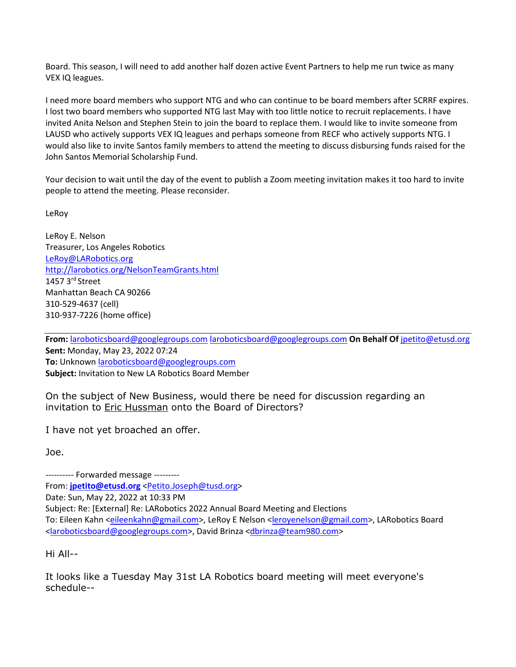Board. This season, I will need to add another half dozen active Event Partners to help me run twice as many VEX IQ leagues.

I need more board members who support NTG and who can continue to be board members after SCRRF expires. I lost two board members who supported NTG last May with too little notice to recruit replacements. I have invited Anita Nelson and Stephen Stein to join the board to replace them. I would like to invite someone from LAUSD who actively supports VEX IQ leagues and perhaps someone from RECF who actively supports NTG. I would also like to invite Santos family members to attend the meeting to discuss disbursing funds raised for the John Santos Memorial Scholarship Fund.

Your decision to wait until the day of the event to publish a Zoom meeting invitation makes it too hard to invite people to attend the meeting. Please reconsider.

LeRoy

LeRoy E. Nelson Treasurer, Los Angeles Robotics LeRoy@LARobotics.org http://larobotics.org/NelsonTeamGrants.html 1457 3rd Street Manhattan Beach CA 90266 310-529-4637 (cell) 310-937-7226 (home office)

**From:** laroboticsboard@googlegroups.com laroboticsboard@googlegroups.com **On Behalf Of** jpetito@etusd.org **Sent:** Monday, May 23, 2022 07:24 **To:** Unknown laroboticsboard@googlegroups.com **Subject:** Invitation to New LA Robotics Board Member

On the subject of New Business, would there be need for discussion regarding an invitation to Eric Hussman onto the Board of Directors?

I have not yet broached an offer.

Joe.

---------- Forwarded message --------- From: **jpetito@etusd.org** <Petito.Joseph@tusd.org> Date: Sun, May 22, 2022 at 10:33 PM Subject: Re: [External] Re: LARobotics 2022 Annual Board Meeting and Elections To: Eileen Kahn <eileenkahn@gmail.com>, LeRoy E Nelson <leroyenelson@gmail.com>, LARobotics Board <laroboticsboard@googlegroups.com>, David Brinza <dbrinza@team980.com>

Hi All--

It looks like a Tuesday May 31st LA Robotics board meeting will meet everyone's schedule--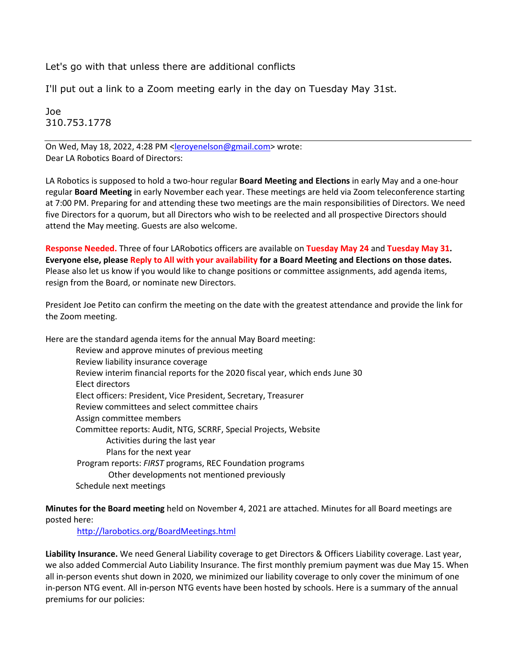Let's go with that unless there are additional conflicts

I'll put out a link to a Zoom meeting early in the day on Tuesday May 31st.

Joe 310.753.1778

On Wed, May 18, 2022, 4:28 PM <leroyenelson@gmail.com> wrote: Dear LA Robotics Board of Directors:

LA Robotics is supposed to hold a two-hour regular **Board Meeting and Elections** in early May and a one-hour regular **Board Meeting** in early November each year. These meetings are held via Zoom teleconference starting at 7:00 PM. Preparing for and attending these two meetings are the main responsibilities of Directors. We need five Directors for a quorum, but all Directors who wish to be reelected and all prospective Directors should attend the May meeting. Guests are also welcome.

**Response Needed.** Three of four LARobotics officers are available on **Tuesday May 24** and **Tuesday May 31. Everyone else, please Reply to All with your availability for a Board Meeting and Elections on those dates.**  Please also let us know if you would like to change positions or committee assignments, add agenda items, resign from the Board, or nominate new Directors.

President Joe Petito can confirm the meeting on the date with the greatest attendance and provide the link for the Zoom meeting.

Here are the standard agenda items for the annual May Board meeting: Review and approve minutes of previous meeting Review liability insurance coverage Review interim financial reports for the 2020 fiscal year, which ends June 30 Elect directors Elect officers: President, Vice President, Secretary, Treasurer Review committees and select committee chairs Assign committee members Committee reports: Audit, NTG, SCRRF, Special Projects, Website

Activities during the last year Plans for the next year Program reports: *FIRST* programs, REC Foundation programs Other developments not mentioned previously Schedule next meetings

**Minutes for the Board meeting** held on November 4, 2021 are attached. Minutes for all Board meetings are posted here:

http://larobotics.org/BoardMeetings.html

**Liability Insurance.** We need General Liability coverage to get Directors & Officers Liability coverage. Last year, we also added Commercial Auto Liability Insurance. The first monthly premium payment was due May 15. When all in-person events shut down in 2020, we minimized our liability coverage to only cover the minimum of one in-person NTG event. All in-person NTG events have been hosted by schools. Here is a summary of the annual premiums for our policies: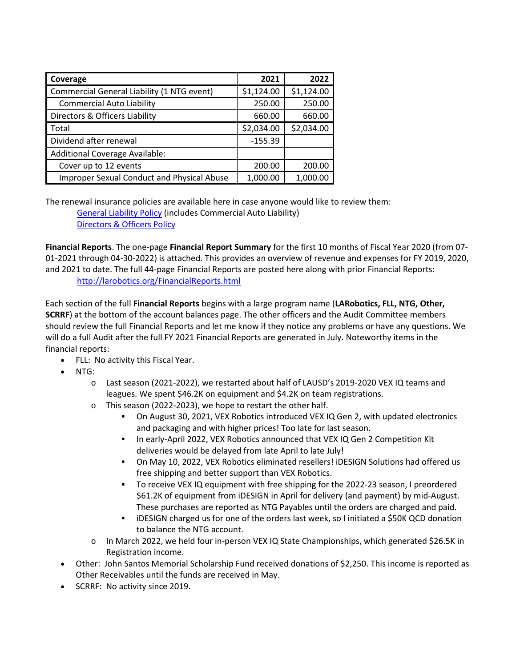| Coverage                                          | 2021       | 2022       |
|---------------------------------------------------|------------|------------|
| Commercial General Liability (1 NTG event)        | \$1,124.00 | \$1,124.00 |
| <b>Commercial Auto Liability</b>                  | 250.00     | 250.00     |
| Directors & Officers Liability                    | 660.00     | 660.00     |
| Total                                             | \$2,034.00 | \$2,034.00 |
| Dividend after renewal                            | $-155.39$  |            |
| Additional Coverage Available:                    |            |            |
| Cover up to 12 events                             | 200.00     | 200.00     |
| <b>Improper Sexual Conduct and Physical Abuse</b> | 1,000.00   | 1,000.00   |

The renewal insurance policies are available here in case anyone would like to review them: General Liability Policy (includes Commercial Auto Liability) Directors & Officers Policy

**Financial Reports**. The one-page **Financial Report Summary** for the first 10 months of Fiscal Year 2020 (from 07- 01-2021 through 04-30-2022) is attached. This provides an overview of revenue and expenses for FY 2019, 2020, and 2021 to date. The full 44-page Financial Reports are posted here along with prior Financial Reports: http://larobotics.org/FinancialReports.html

Each section of the full **Financial Reports** begins with a large program name (**LARobotics, FLL, NTG, Other, SCRRF**) at the bottom of the account balances page. The other officers and the Audit Committee members should review the full Financial Reports and let me know if they notice any problems or have any questions. We will do a full Audit after the full FY 2021 Financial Reports are generated in July. Noteworthy items in the financial reports:

- FLL: No activity this Fiscal Year.
- NTG:
	- o Last season (2021-2022), we restarted about half of LAUSD's 2019-2020 VEX IQ teams and leagues. We spent \$46.2K on equipment and \$4.2K on team registrations.
	- o This season (2022-2023), we hope to restart the other half.
		- On August 30, 2021, VEX Robotics introduced VEX IQ Gen 2, with updated electronics and packaging and with higher prices! Too late for last season.
		- In early-April 2022, VEX Robotics announced that VEX IQ Gen 2 Competition Kit deliveries would be delayed from late April to late July!
		- On May 10, 2022, VEX Robotics eliminated resellers! iDESIGN Solutions had offered us free shipping and better support than VEX Robotics.
		- To receive VEX IQ equipment with free shipping for the 2022-23 season, I preordered \$61.2K of equipment from iDESIGN in April for delivery (and payment) by mid-August. These purchases are reported as NTG Payables until the orders are charged and paid.
		- iDESIGN charged us for one of the orders last week, so I initiated a \$50K QCD donation to balance the NTG account.
	- o In March 2022, we held four in-person VEX IQ State Championships, which generated \$26.5K in Registration income.
- Other: John Santos Memorial Scholarship Fund received donations of \$2,250. This income is reported as Other Receivables until the funds are received in May.
- SCRRF: No activity since 2019.